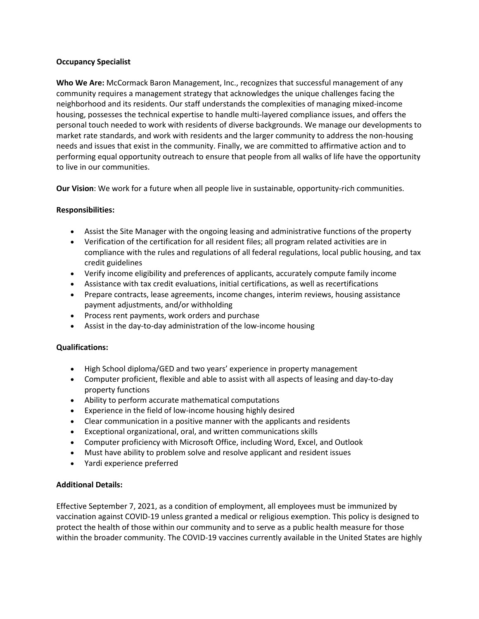## **Occupancy Specialist**

**Who We Are:** McCormack Baron Management, Inc., recognizes that successful management of any community requires a management strategy that acknowledges the unique challenges facing the neighborhood and its residents. Our staff understands the complexities of managing mixed-income housing, possesses the technical expertise to handle multi-layered compliance issues, and offers the personal touch needed to work with residents of diverse backgrounds. We manage our developments to market rate standards, and work with residents and the larger community to address the non-housing needs and issues that exist in the community. Finally, we are committed to affirmative action and to performing equal opportunity outreach to ensure that people from all walks of life have the opportunity to live in our communities.

**Our Vision**: We work for a future when all people live in sustainable, opportunity-rich communities.

## **Responsibilities:**

- Assist the Site Manager with the ongoing leasing and administrative functions of the property
- Verification of the certification for all resident files; all program related activities are in compliance with the rules and regulations of all federal regulations, local public housing, and tax credit guidelines
- Verify income eligibility and preferences of applicants, accurately compute family income
- Assistance with tax credit evaluations, initial certifications, as well as recertifications
- Prepare contracts, lease agreements, income changes, interim reviews, housing assistance payment adjustments, and/or withholding
- Process rent payments, work orders and purchase
- Assist in the day-to-day administration of the low-income housing

## **Qualifications:**

- High School diploma/GED and two years' experience in property management
- Computer proficient, flexible and able to assist with all aspects of leasing and day-to-day property functions
- Ability to perform accurate mathematical computations
- Experience in the field of low-income housing highly desired
- Clear communication in a positive manner with the applicants and residents
- Exceptional organizational, oral, and written communications skills
- Computer proficiency with Microsoft Office, including Word, Excel, and Outlook
- Must have ability to problem solve and resolve applicant and resident issues
- Yardi experience preferred

## **Additional Details:**

Effective September 7, 2021, as a condition of employment, all employees must be immunized by vaccination against COVID-19 unless granted a medical or religious exemption. This policy is designed to protect the health of those within our community and to serve as a public health measure for those within the broader community. The COVID-19 vaccines currently available in the United States are highly